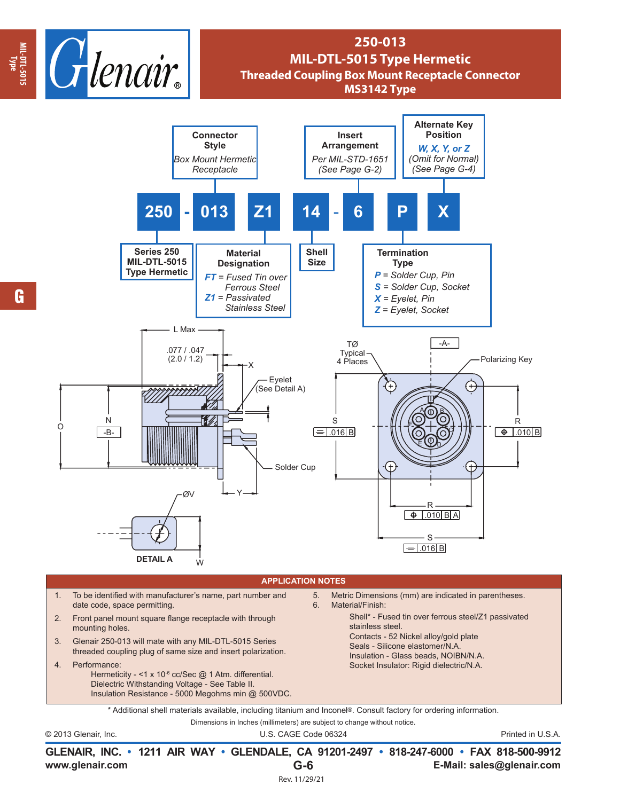

## **250-013 MIL-DTL-5015 Type Hermetic Threaded Coupling Box Mount Receptacle Connector MS3142 Type**



|                 |               | GLENAIR, INC. • 1211 AIR WAY • GLENDALE, CA 91201-2497 • 818-247-6000 • FAX 818-500-9912 |
|-----------------|---------------|------------------------------------------------------------------------------------------|
| www.glenair.com | $G-6$         | E-Mail: sales@glenair.com                                                                |
|                 | Rev. 11/29/21 |                                                                                          |